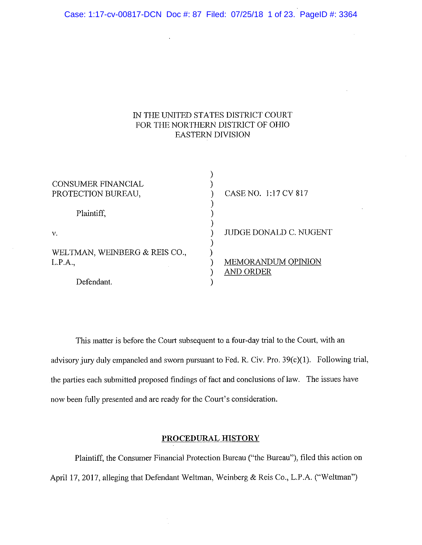Case: 1:17-cv-00817-DCN Doc #: 87 Filed: 07/25/18 1 of 23. PageID #: 3364

 $\ddot{\phantom{a}}$ 

# IN THE UNITED STATES DISTRICT COURT FOR THE NORTHERN DISTRICT OF OHIO **EASTERN DIVISION**

| <b>CONSUMER FINANCIAL</b><br>PROTECTION BUREAU, | CASE NO. 1:17 CV 817      |
|-------------------------------------------------|---------------------------|
| Plaintiff.                                      |                           |
| V.                                              | JUDGE DONALD C. NUGENT    |
| WELTMAN, WEINBERG & REIS CO.,<br>L.P.A.,        | <b>MEMORANDUM OPINION</b> |
| Defendant.                                      | AND ORDER                 |

This matter is before the Court subsequent to a four-day trial to the Court, with an advisory jury duly empaneled and sworn pursuant to Fed. R. Civ. Pro. 39(c)(1). Following trial, the parties each submitted proposed findings of fact and conclusions of law. The issues have now been fully presented and are ready for the Court's consideration.

# **PROCEDURAL HISTORY**

Plaintiff, the Consumer Financial Protection Bureau ("the Bureau"), filed this action on April 17, 2017, alleging that Defendant Weltman, Weinberg & Reis Co., L.P.A. ("Weltman")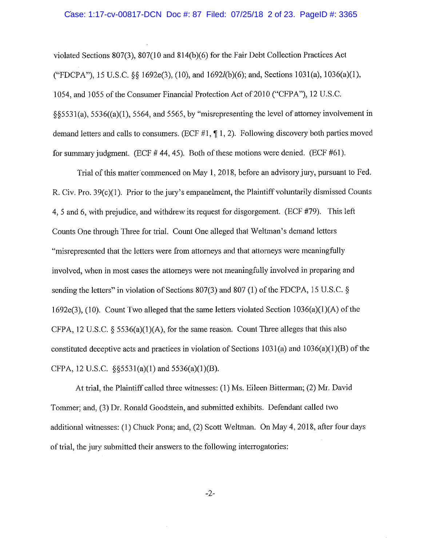#### Case: 1:17-cv-00817-DCN Doc #: 87 Filed: 07/25/18 2 of 23. PageID #: 3365

violated Sections 807(3), 807(10 and 814(b)(6) for the Fair Debt Collection Practices Act ("FDCPA"), 15 U.S.C. §§ 1692e(3), (10), and 1692l(b)(6); and, Sections 1031(a), 1036(a)(1), 1054, and 1055 of the Consumer Financial Protection Act of 2010 ("CFPA"), 12 U.S.C.  $\S$ §5531(a), 5536((a)(1), 5564, and 5565, by "misrepresenting the level of attorney involvement in demand letters and calls to consumers. (ECF  $#1$ ,  $\P$ 1, 2). Following discovery both parties moved for summary judgment. (ECF  $#$  44, 45). Both of these motions were denied. (ECF  $#61$ ).

Trial of this matter commenced on May 1, 2018, before an advisory jury, pursuant to Fed. R. Civ. Pro.  $39(c)(1)$ . Prior to the jury's empanelment, the Plaintiff voluntarily dismissed Counts 4, 5 and 6, with prejudice, and withdrew its request for disgorgement. (ECF #79). This left Counts One through Three for trial. Count One alleged that Weltman's demand letters "misrepresented that the letters were from attorneys and that attorneys were meaningfully involved, when in most cases the attorneys were not meaningfully involved in preparing and sending the letters" in violation of Sections 807(3) and 807(1) of the FDCPA, 15 U.S.C. § 1692e(3), (10). Count Two alleged that the same letters violated Section  $1036(a)(1)(A)$  of the CFPA, 12 U.S.C. § 5536(a)(1)(A), for the same reason. Count Three alleges that this also constituted deceptive acts and practices in violation of Sections  $1031(a)$  and  $1036(a)(1)(B)$  of the CFPA, 12 U.S.C. §§5531(a)(1) and 5536(a)(1)(B).

At trial, the Plaintiff called three witnesses: (1) Ms. Eileen Bitterman; (2) Mr. David Tommer; and, (3) Dr. Ronald Goodstein, and submitted exhibits. Defendant called two additional witnesses: (1) Chuck Pona; and, (2) Scott Weltman. On May 4, 2018, after four days of trial, the jury submitted their answers to the following interrogatories:

 $-2-$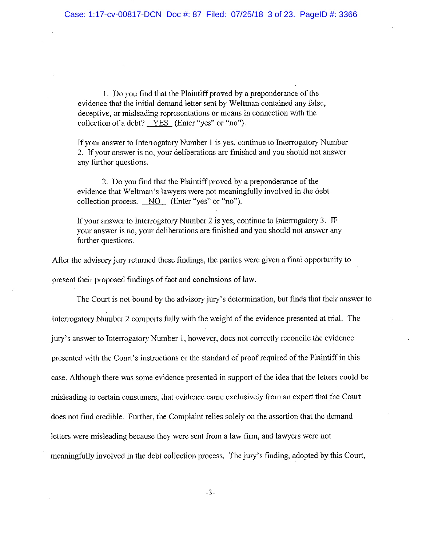1. Do you find that the Plaint if proved by a preponderance of the evidence that the initial demand letter sent by Weltman contained any false, deceptive, or misleading representations or means in connection with the collection of a debt? YES (Enter "yes" or "no").

If your answer to Interrogatory Number 1 is yes, continue to Interrogatory Number 2. If your answer is no, your deliberations are finished and you should not answer any further questions.

2. Do you find that the Plaintiff proved by a preponderance of the evidence that Weltman's lawyers were not meaningfully involved in the debt collection process. NO (Enter "yes" or "no").

If your answer to Interrogatory Number 2 is yes, continue to Interrogatory 3. IF your answer is no, your deliberations are finished and you should not answer any further questions.

After the advisory jury returned these findings, the parties were given a final opportunity to present their proposed findings of fact and conclusions of law.

The Court is not bound by the advisory jury's determination, but finds that their answer to Interrogatory Number 2 comports fully with the weight of the evidence presented at trial. The jury's answer to Interrogatory Number 1, however, does not correctly reconcile the evidence presented with the Court's instructions or the standard of proof required of the Plaintiff in this case. Although there was some evidence presented in support of the idea that the letters could be misleading to certain consumers, that evidence came exclusively from an expert that the Court does not find credible. Further, the Complaint relies solely on the assertion that the demand letters were misleading because they were sent from a law firm, and lawyers were not meaningfully involved in the debt collection process. The jury's finding, adopted by this Court,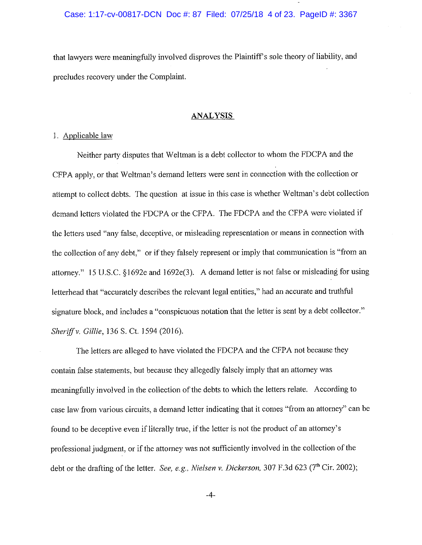that lawyers were meaningfully involved disproves the Plaintiff's sole theory of liability, and precludes recovery under the Complaint.

# **ANALYSIS**

# 1. Applicable law

Neither party disputes that Weltman is a debt collector to whom the FDCPA and the CFPA apply, or that Weltman's demand letters were sent in connection with the collection or attempt to collect debts. The question at issue in this case is whether Weltman's debt collection demand letters violated the FDCPA or the CFPA. The FDCPA and the CFPA were violated if the letters used "any false, deceptive, or misleading representation or means in connection with the collection of any debt," or if they falsely represent or imply that communication is "from an attorney." 15 U.S.C. §1692e and 1692e(3). A demand letter is not false or misleading for using letterhead that "accurately describes the relevant legal entities," had an accurate and truthful signature block, and includes a "conspicuous notation that the letter is sent by a debt collector." Sheriff v. Gillie, 136 S. Ct. 1594 (2016).

The letters are alleged to have violated the FDCPA and the CFPA not because they contain false statements, but because they allegedly falsely imply that an attorney was meaningfully involved in the collection of the debts to which the letters relate. According to case law from various circuits, a demand letter indicating that it comes "from an attorney" can be found to be deceptive even if literally true, if the letter is not the product of an attorney's professional judgment, or if the attorney was not sufficiently involved in the collection of the debt or the drafting of the letter. See, e.g., Nielsen v. Dickerson, 307 F.3d 623 (7<sup>th</sup> Cir. 2002);

 $-4-$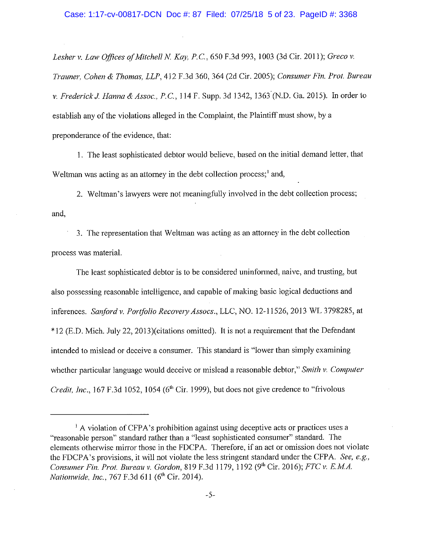Lesher v. Law Offices of Mitchell N. Kay, P.C., 650 F.3d 993, 1003 (3d Cir. 2011); Greco v. Trauner, Cohen & Thomas, LLP, 412 F.3d 360, 364 (2d Cir. 2005); Consumer Fin. Prot. Bureau v. Frederick J. Hanna & Assoc., P.C., 114 F. Supp. 3d 1342, 1363 (N.D. Ga. 2015). In order to establish any of the violations alleged in the Complaint, the Plaintiff must show, by a preponderance of the evidence, that:

1. The least sophisticated debtor would believe, based on the initial demand letter, that Weltman was acting as an attorney in the debt collection process;<sup>1</sup> and,

2. Weltman's lawyers were not meaningfully involved in the debt collection process; and.

3. The representation that Weltman was acting as an attorney in the debt collection process was material.

The least sophisticated debtor is to be considered uninformed, naive, and trusting, but also possessing reasonable intelligence, and capable of making basic logical deductions and inferences. Sanford v. Portfolio Recovery Assocs., LLC, NO. 12-11526, 2013 WL 3798285, at \*12 (E.D. Mich. July 22, 2013) (citations omitted). It is not a requirement that the Defendant intended to mislead or deceive a consumer. This standard is "lower than simply examining whether particular language would deceive or mislead a reasonable debtor," Smith v. Computer Credit, Inc., 167 F.3d 1052, 1054 (6<sup>th</sup> Cir. 1999), but does not give credence to "frivolous

<sup>&</sup>lt;sup>1</sup> A violation of CFPA's prohibition against using deceptive acts or practices uses a "reasonable person" standard rather than a "least sophisticated consumer" standard. The elements otherwise mirror those in the FDCPA. Therefore, if an act or omission does not violate the FDCPA's provisions, it will not violate the less stringent standard under the CFPA. See, e.g., Consumer Fin. Prot. Bureau v. Gordon, 819 F.3d 1179, 1192 (9th Cir. 2016); FTC v. E.M.A. Nationwide, Inc., 767 F.3d 611 (6<sup>th</sup> Cir. 2014).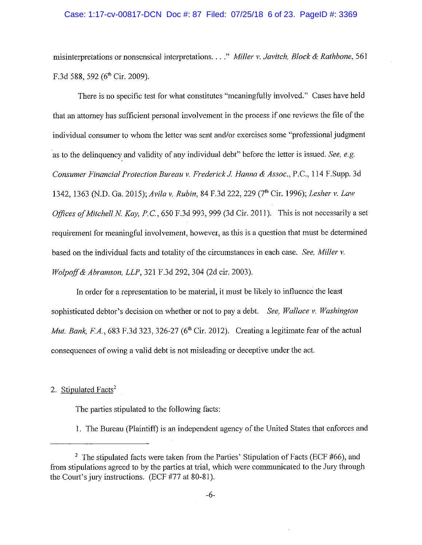### Case: 1:17-cv-00817-DCN Doc #: 87 Filed: 07/25/18 6 of 23. PageID #: 3369

misinterpretations or nonsensical interpretations. . . ." Miller v. Javitch, Block & Rathbone, 561 F.3d 588, 592 (6<sup>th</sup> Cir. 2009).

There is no specific test for what constitutes "meaningfully involved." Cases have held that an attorney has sufficient personal involvement in the process if one reviews the file of the individual consumer to whom the letter was sent and/or exercises some "professional judgment" as to the delinquency and validity of any individual debt" before the letter is issued. See, e.g. Consumer Financial Protection Bureau v. Frederick J. Hanna & Assoc., P.C., 114 F.Supp. 3d 1342, 1363 (N.D. Ga. 2015); Avila v. Rubin, 84 F.3d 222, 229 (7<sup>th</sup> Cir. 1996); Lesher v. Law Offices of Mitchell N. Kay, P.C., 650 F.3d 993, 999 (3d Cir. 2011). This is not necessarily a set requirement for meaningful involvement, however, as this is a question that must be determined based on the individual facts and totality of the circumstances in each case. See, Miller v. Wolpoff & Abramson, LLP, 321 F.3d 292, 304 (2d cir. 2003).

In order for a representation to be material, it must be likely to influence the least sophisticated debtor's decision on whether or not to pay a debt. See, Wallace v. Washington Mut. Bank, F.A., 683 F.3d 323, 326-27 ( $6<sup>th</sup>$  Cir. 2012). Creating a legitimate fear of the actual consequences of owing a valid debt is not misleading or deceptive under the act.

2. Stipulated Facts<sup>2</sup>

The parties stipulated to the following facts:

1. The Bureau (Plaintiff) is an independent agency of the United States that enforces and

<sup>&</sup>lt;sup>2</sup> The stipulated facts were taken from the Parties' Stipulation of Facts (ECF #66), and from stipulations agreed to by the parties at trial, which were communicated to the Jury through the Court's jury instructions. (ECF #77 at 80-81).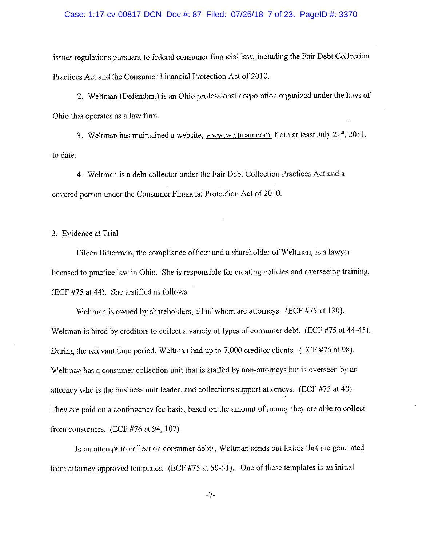#### Case: 1:17-cv-00817-DCN Doc #: 87 Filed: 07/25/18 7 of 23. PageID #: 3370

issues regulations pursuant to federal consumer financial law, including the Fair Debt Collection Practices Act and the Consumer Financial Protection Act of 2010.

2. Weltman (Defendant) is an Ohio professional corporation organized under the laws of Ohio that operates as a law firm.

3. Weltman has maintained a website, www.weltman.com, from at least July 21st, 2011, to date.

4. Weltman is a debt collector under the Fair Debt Collection Practices Act and a covered person under the Consumer Financial Protection Act of 2010.

# 3. Evidence at Trial

Eileen Bitterman, the compliance officer and a shareholder of Weltman, is a lawyer licensed to practice law in Ohio. She is responsible for creating policies and overseeing training. (ECF #75 at 44). She testified as follows.

Weltman is owned by shareholders, all of whom are attorneys. (ECF #75 at 130). Weltman is hired by creditors to collect a variety of types of consumer debt. (ECF #75 at 44-45). During the relevant time period, Weltman had up to 7,000 creditor clients. (ECF #75 at 98). Weltman has a consumer collection unit that is staffed by non-attorneys but is overseen by an attorney who is the business unit leader, and collections support attorneys. (ECF #75 at 48). They are paid on a contingency fee basis, based on the amount of money they are able to collect from consumers. (ECF  $#76$  at 94, 107).

In an attempt to collect on consumer debts, Weltman sends out letters that are generated from attorney-approved templates. (ECF #75 at 50-51). One of these templates is an initial

 $-7-$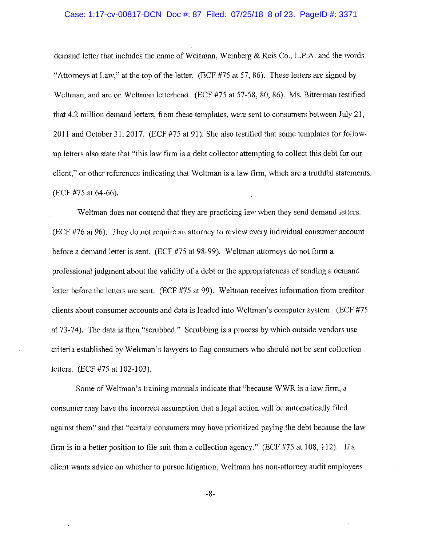### Case: 1:17-cv-00817-DCN Doc #: 87 Filed: 07/25/18 8 of 23. PageID #: 3371

demand letter that includes the name of Weltman, Weinberg & Reis Co., L.P.A. and the words "Attorneys at Law," at the top of the letter. (ECF #75 at 57, 86). These letters are signed by Weltman, and are on Weltman letterhead. (ECF #75 at 57-58, 80, 86). Ms. Bitterman testified that 4.2 million demand letters, from these templates, were sent to consumers between July 21, 2011 and October 31, 2017. (ECF #75 at 91). She also testified that some templates for followup letters also state that "this law firm is a debt collector attempting to collect this debt for our client." or other references indicating that Weltman is a law firm, which are a truthful statements. (ECF #75 at 64-66).

Weltman does not contend that they are practicing law when they send demand letters. (ECF #76 at 96). They do not require an attorney to review every individual consumer account before a demand letter is sent. (ECF #75 at 98-99). Weltman attorneys do not form a professional judgment about the validity of a debt or the appropriateness of sending a demand letter before the letters are sent. (ECF #75 at 99). Weltman receives information from creditor clients about consumer accounts and data is loaded into Weltman's computer system. (ECF #75 at 73-74). The data is then "scrubbed." Scrubbing is a process by which outside vendors use criteria established by Weltman's lawyers to flag consumers who should not be sent collection letters. (ECF #75 at 102-103).

Some of Weltman's training manuals indicate that "because WWR is a law firm, a consumer may have the incorrect assumption that a legal action will be automatically filed against them" and that "certain consumers may have prioritized paying the debt because the law firm is in a better position to file suit than a collection agency." (ECF #75 at 108, 112). If a client wants advice on whether to pursue litigation. Weltman has non-attorney audit employees

 $-8-$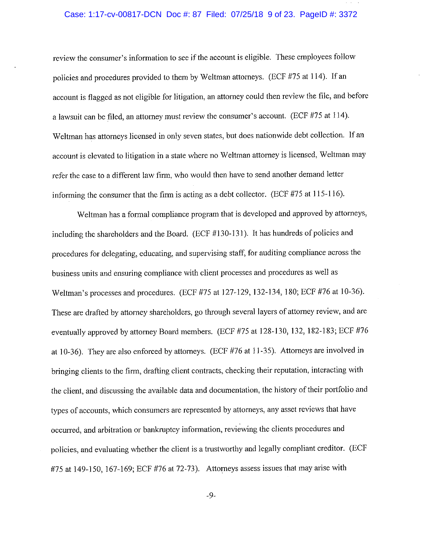### Case: 1:17-cv-00817-DCN Doc #: 87 Filed: 07/25/18 9 of 23. PageID #: 3372

review the consumer's information to see if the account is eligible. These employees follow policies and procedures provided to them by Weltman attorneys. (ECF #75 at 114). If an account is flagged as not eligible for litigation, an attorney could then review the file, and before a lawsuit can be filed, an attorney must review the consumer's account. (ECF #75 at 114). Weltman has attorneys licensed in only seven states, but does nationwide debt collection. If an account is elevated to litigation in a state where no Weltman attorney is licensed, Weltman may refer the case to a different law firm, who would then have to send another demand letter informing the consumer that the firm is acting as a debt collector. (ECF #75 at 115-116).

Weltman has a formal compliance program that is developed and approved by attorneys, including the shareholders and the Board. (ECF #130-131). It has hundreds of policies and procedures for delegating, educating, and supervising staff, for auditing compliance across the business units and ensuring compliance with client processes and procedures as well as Weltman's processes and procedures. (ECF #75 at 127-129, 132-134, 180; ECF #76 at 10-36). These are drafted by attorney shareholders, go through several layers of attorney review; and are eventually approved by attorney Board members. (ECF #75 at 128-130, 132, 182-183; ECF #76 at 10-36). They are also enforced by attorneys. (ECF #76 at 11-35). Attorneys are involved in bringing clients to the firm, drafting client contracts, checking their reputation, interacting with the client, and discussing the available data and documentation, the history of their portfolio and types of accounts, which consumers are represented by attorneys, any asset reviews that have occurred, and arbitration or bankruptcy information, reviewing the clients procedures and policies, and evaluating whether the client is a trustworthy and legally compliant creditor. (ECF #75 at 149-150, 167-169; ECF #76 at 72-73). Attorneys assess issues that may arise with

 $-9-$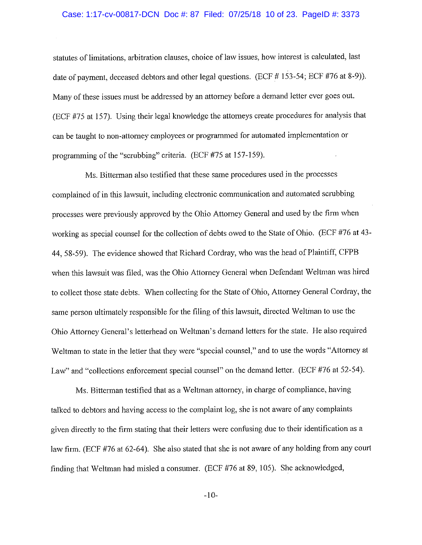# Case: 1:17-cv-00817-DCN Doc #: 87 Filed: 07/25/18 10 of 23. PageID #: 3373

statutes of limitations, arbitration clauses, choice of law issues, how interest is calculated, last date of payment, deceased debtors and other legal questions. (ECF #153-54; ECF #76 at 8-9)). Many of these issues must be addressed by an attorney before a demand letter ever goes out. (ECF #75 at 157). Using their legal knowledge the attorneys create procedures for analysis that can be taught to non-attorney employees or programmed for automated implementation or programming of the "scrubbing" criteria. (ECF #75 at 157-159).

Ms. Bitterman also testified that these same procedures used in the processes complained of in this lawsuit, including electronic communication and automated scrubbing processes were previously approved by the Ohio Attorney General and used by the firm when working as special counsel for the collection of debts owed to the State of Ohio. (ECF #76 at 43-44, 58-59). The evidence showed that Richard Cordray, who was the head of Plaintiff, CFPB when this lawsuit was filed, was the Ohio Attorney General when Defendant Weltman was hired to collect those state debts. When collecting for the State of Ohio, Attorney General Cordray, the same person ultimately responsible for the filing of this lawsuit, directed Weltman to use the Ohio Attorney General's letterhead on Weltman's demand letters for the state. He also required Weltman to state in the letter that they were "special counsel," and to use the words "Attorney at Law" and "collections enforcement special counsel" on the demand letter. (ECF #76 at 52-54).

Ms. Bitterman testified that as a Weltman attorney, in charge of compliance, having talked to debtors and having access to the complaint log, she is not aware of any complaints given directly to the firm stating that their letters were confusing due to their identification as a law firm. (ECF #76 at 62-64). She also stated that she is not aware of any holding from any court finding that Weltman had misled a consumer. (ECF #76 at 89, 105). She acknowledged,

 $-10-$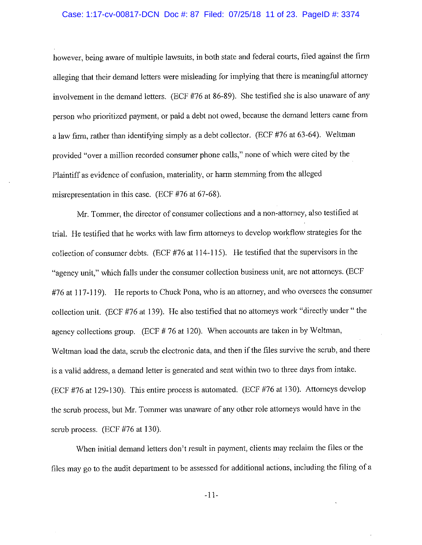## Case: 1:17-cv-00817-DCN Doc #: 87 Filed: 07/25/18 11 of 23. PageID #: 3374

however, being aware of multiple lawsuits, in both state and federal courts, filed against the firm alleging that their demand letters were misleading for implying that there is meaningful attorney involvement in the demand letters. (ECF #76 at 86-89). She testified she is also unaware of any person who prioritized payment, or paid a debt not owed, because the demand letters came from a law firm, rather than identifying simply as a debt collector. (ECF #76 at 63-64). Weltman provided "over a million recorded consumer phone calls," none of which were cited by the Plaintiff as evidence of confusion, materiality, or harm stemming from the alleged misrepresentation in this case. (ECF #76 at 67-68).

Mr. Tommer, the director of consumer collections and a non-attorney, also testified at trial. He testified that he works with law firm attorneys to develop workflow strategies for the collection of consumer debts. (ECF #76 at 114-115). He testified that the supervisors in the "agency unit," which falls under the consumer collection business unit, are not attorneys. (ECF #76 at 117-119). He reports to Chuck Pona, who is an attorney, and who oversees the consumer collection unit. (ECF #76 at 139). He also testified that no attorneys work "directly under " the agency collections group.  $(ECF # 76$  at 120). When accounts are taken in by Weltman, Weltman load the data, scrub the electronic data, and then if the files survive the scrub, and there is a valid address, a demand letter is generated and sent within two to three days from intake. (ECF #76 at 129-130). This entire process is automated. (ECF #76 at 130). Attorneys develop the scrub process, but Mr. Tommer was unaware of any other role attorneys would have in the scrub process. (ECF #76 at 130).

When initial demand letters don't result in payment, clients may reclaim the files or the files may go to the audit department to be assessed for additional actions, including the filing of a

 $-11-$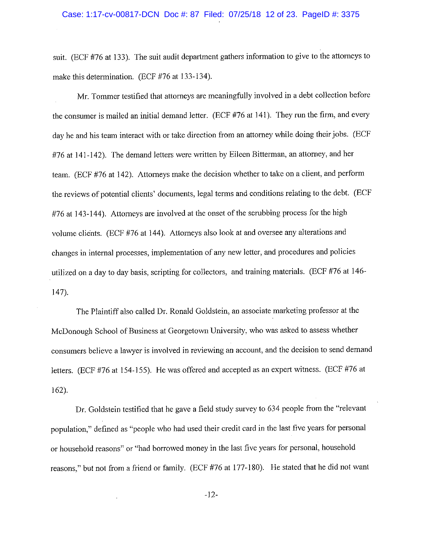suit. (ECF #76 at 133). The suit audit department gathers information to give to the attorneys to make this determination. (ECF #76 at 133-134).

Mr. Tommer testified that attorneys are meaningfully involved in a debt collection before the consumer is mailed an initial demand letter. (ECF #76 at 141). They run the firm, and every day he and his team interact with or take direction from an attorney while doing their jobs. (ECF #76 at 141-142). The demand letters were written by Eileen Bitterman, an attorney, and her team. (ECF #76 at 142). Attorneys make the decision whether to take on a client, and perform the reviews of potential clients' documents, legal terms and conditions relating to the debt. (ECF #76 at 143-144). Attorneys are involved at the onset of the scrubbing process for the high volume clients. (ECF #76 at 144). Attorneys also look at and oversee any alterations and changes in internal processes, implementation of any new letter, and procedures and policies utilized on a day to day basis, scripting for collectors, and training materials. (ECF #76 at 146- $147.$ 

The Plaintiff also called Dr. Ronald Goldstein, an associate marketing professor at the McDonough School of Business at Georgetown University, who was asked to assess whether consumers believe a lawyer is involved in reviewing an account, and the decision to send demand letters. (ECF #76 at 154-155). He was offered and accepted as an expert witness. (ECF #76 at  $162$ ).

Dr. Goldstein testified that he gave a field study survey to 634 people from the "relevant population," defined as "people who had used their credit card in the last five years for personal or household reasons" or "had borrowed money in the last five years for personal, household reasons," but not from a friend or family. (ECF #76 at 177-180). He stated that he did not want

 $-12-$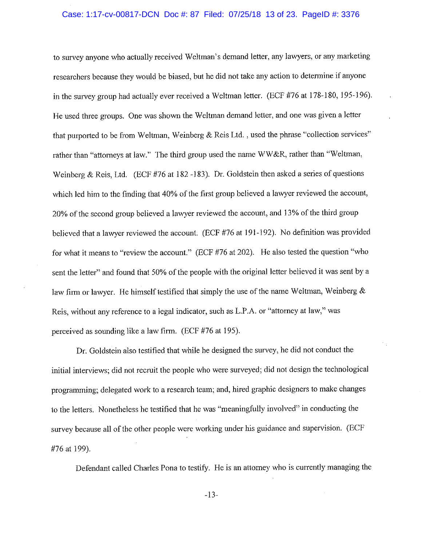# Case: 1:17-cv-00817-DCN Doc #: 87 Filed: 07/25/18 13 of 23. PageID #: 3376

to survey anyone who actually received Weltman's demand letter, any lawyers, or any marketing researchers because they would be biased, but he did not take any action to determine if anyone in the survey group had actually ever received a Weltman letter. (ECF #76 at 178-180, 195-196). He used three groups. One was shown the Weltman demand letter, and one was given a letter that purported to be from Weltman, Weinberg & Reis Ltd., used the phrase "collection services" rather than "attorneys at law," The third group used the name WW&R, rather than "Weltman, Weinberg & Reis, Ltd. (ECF #76 at 182-183). Dr. Goldstein then asked a series of questions which led him to the finding that 40% of the first group believed a lawyer reviewed the account, 20% of the second group believed a lawyer reviewed the account, and 13% of the third group believed that a lawyer reviewed the account. (ECF #76 at 191-192). No definition was provided for what it means to "review the account." (ECF #76 at 202). He also tested the question "who sent the letter" and found that 50% of the people with the original letter believed it was sent by a law firm or lawyer. He himself testified that simply the use of the name Weltman, Weinberg  $\&$ Reis, without any reference to a legal indicator, such as L.P.A. or "attorney at law," was perceived as sounding like a law firm. (ECF #76 at 195).

Dr. Goldstein also testified that while he designed the survey, he did not conduct the initial interviews; did not recruit the people who were surveyed; did not design the technological programming; delegated work to a research team; and, hired graphic designers to make changes to the letters. Nonetheless he testified that he was "meaningfully involved" in conducting the survey because all of the other people were working under his guidance and supervision. (ECF #76 at 199).

Defendant called Charles Pona to testify. He is an attorney who is currently managing the

 $-13-$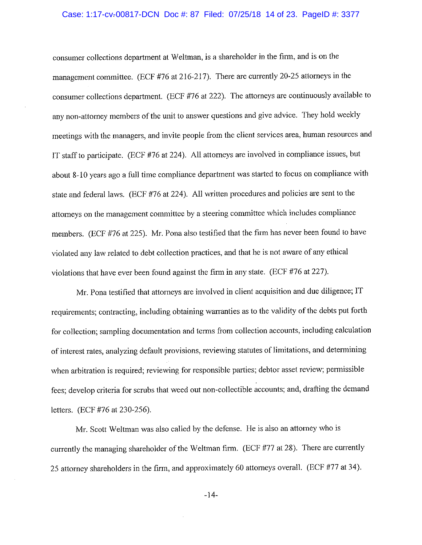### Case: 1:17-cv-00817-DCN Doc #: 87 Filed: 07/25/18 14 of 23. PageID #: 3377

consumer collections department at Weltman, is a shareholder in the firm, and is on the management committee. (ECF #76 at 216-217). There are currently 20-25 attorneys in the consumer collections department. (ECF #76 at 222). The attorneys are continuously available to any non-attorney members of the unit to answer questions and give advice. They hold weekly meetings with the managers, and invite people from the client services area, human resources and IT staff to participate. (ECF #76 at 224). All attorneys are involved in compliance issues, but about 8-10 years ago a full time compliance department was started to focus on compliance with state and federal laws. (ECF #76 at 224). All written procedures and policies are sent to the attorneys on the management committee by a steering committee which includes compliance members. (ECF #76 at 225). Mr. Pona also testified that the firm has never been found to have violated any law related to debt collection practices, and that he is not aware of any ethical violations that have ever been found against the firm in any state. (ECF #76 at 227).

Mr. Pona testified that attorneys are involved in client acquisition and due diligence; IT requirements; contracting, including obtaining warranties as to the validity of the debts put forth for collection; sampling documentation and terms from collection accounts, including calculation of interest rates, analyzing default provisions, reviewing statutes of limitations, and determining when arbitration is required; reviewing for responsible parties; debtor asset review; permissible fees; develop criteria for scrubs that weed out non-collectible accounts; and, drafting the demand letters. (ECF #76 at 230-256).

Mr. Scott Weltman was also called by the defense. He is also an attorney who is currently the managing shareholder of the Weltman firm. (ECF #77 at 28). There are currently 25 attorney shareholders in the firm, and approximately 60 attorneys overall. (ECF #77 at 34).

 $-14-$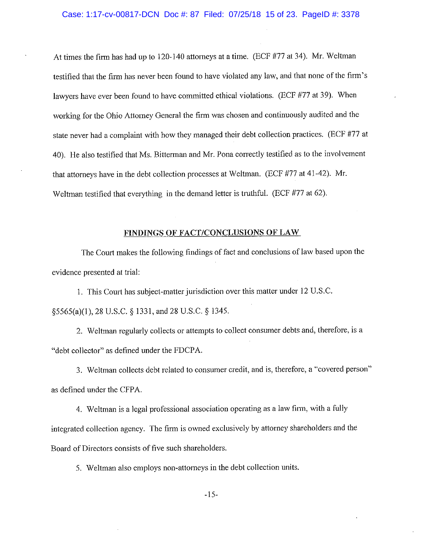# Case: 1:17-cv-00817-DCN Doc #: 87 Filed: 07/25/18 15 of 23. PageID #: 3378

At times the firm has had up to 120-140 attorneys at a time. (ECF #77 at 34). Mr. Weltman testified that the firm has never been found to have violated any law, and that none of the firm's lawyers have ever been found to have committed ethical violations. (ECF #77 at 39). When working for the Ohio Attorney General the firm was chosen and continuously audited and the state never had a complaint with how they managed their debt collection practices. (ECF #77 at 40). He also testified that Ms. Bitterman and Mr. Pona correctly testified as to the involvement that attorneys have in the debt collection processes at Weltman. (ECF #77 at 41-42). Mr. Weltman testified that everything in the demand letter is truthful. (ECF #77 at 62).

# FINDINGS OF FACT/CONCLUSIONS OF LAW

The Court makes the following findings of fact and conclusions of law based upon the evidence presented at trial:

1. This Court has subject-matter jurisdiction over this matter under 12 U.S.C. 85565(a)(1), 28 U.S.C. § 1331, and 28 U.S.C. § 1345.

2. Weltman regularly collects or attempts to collect consumer debts and, therefore, is a "debt collector" as defined under the FDCPA.

3. Weltman collects debt related to consumer credit, and is, therefore, a "covered person" as defined under the CFPA.

4. Weltman is a legal professional association operating as a law firm, with a fully integrated collection agency. The firm is owned exclusively by attorney shareholders and the Board of Directors consists of five such shareholders.

5. Weltman also employs non-attorneys in the debt collection units.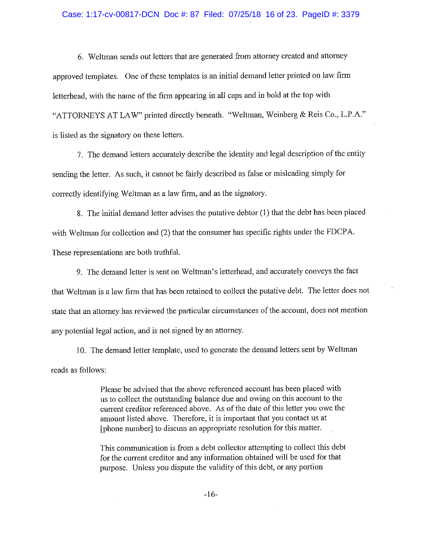# Case: 1:17-cv-00817-DCN Doc #: 87 Filed: 07/25/18 16 of 23. PageID #: 3379

6. Weltman sends out letters that are generated from attorney created and attorney approved templates. One of these templates is an initial demand letter printed on law firm letterhead, with the name of the firm appearing in all caps and in bold at the top with "ATTORNEYS AT LAW" printed directly beneath. "Weltman, Weinberg & Reis Co., L.P.A." is listed as the signatory on these letters.

7. The demand letters accurately describe the identity and legal description of the entity sending the letter. As such, it cannot be fairly described as false or misleading simply for correctly identifying Weltman as a law firm, and as the signatory.

8. The initial demand letter advises the putative debtor (1) that the debt has been placed with Weltman for collection and (2) that the consumer has specific rights under the FDCPA. These representations are both truthful.

9. The demand letter is sent on Weltman's letterhead, and accurately conveys the fact that Weltman is a law firm that has been retained to collect the putative debt. The letter does not state that an attorney has reviewed the particular circumstances of the account, does not mention any potential legal action, and is not signed by an attorney.

10. The demand letter template, used to generate the demand letters sent by Weltman reads as follows:

> Please be advised that the above referenced account has been placed with us to collect the outstanding balance due and owing on this account to the current creditor referenced above. As of the date of this letter you owe the amount listed above. Therefore, it is important that you contact us at [phone number] to discuss an appropriate resolution for this matter.

> This communication is from a debt collector attempting to collect this debt for the current creditor and any information obtained will be used for that purpose. Unless you dispute the validity of this debt, or any portion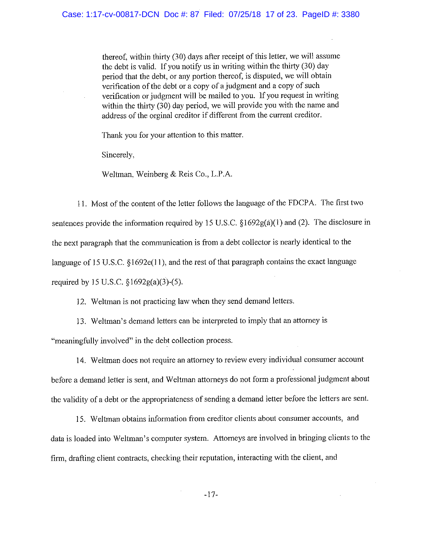thereof, within thirty (30) days after receipt of this letter, we will assume the debt is valid. If you notify us in writing within the thirty (30) day period that the debt, or any portion thereof, is disputed, we will obtain verification of the debt or a copy of a judgment and a copy of such verification or judgment will be mailed to you. If you request in writing within the thirty (30) day period, we will provide you with the name and address of the orginal creditor if different from the current creditor.

Thank you for your attention to this matter.

Sincerely,

Weltman, Weinberg & Reis Co., L.P.A.

11. Most of the content of the letter follows the language of the FDCPA. The first two sentences provide the information required by 15 U.S.C. §1692g(a)(1) and (2). The disclosure in the next paragraph that the communication is from a debt collector is nearly identical to the language of 15 U.S.C. §1692e(11), and the rest of that paragraph contains the exact language required by 15 U.S.C.  $\frac{61692g(a)(3)-(5)}{2}$ .

12. Weltman is not practicing law when they send demand letters.

13. Weltman's demand letters can be interpreted to imply that an attorney is

"meaningfully involved" in the debt collection process.

14. Weltman does not require an attorney to review every individual consumer account before a demand letter is sent, and Weltman attorneys do not form a professional judgment about the validity of a debt or the appropriateness of sending a demand letter before the letters are sent.

15. Weltman obtains information from creditor clients about consumer accounts, and data is loaded into Weltman's computer system. Attorneys are involved in bringing clients to the firm, drafting client contracts, checking their reputation, interacting with the client, and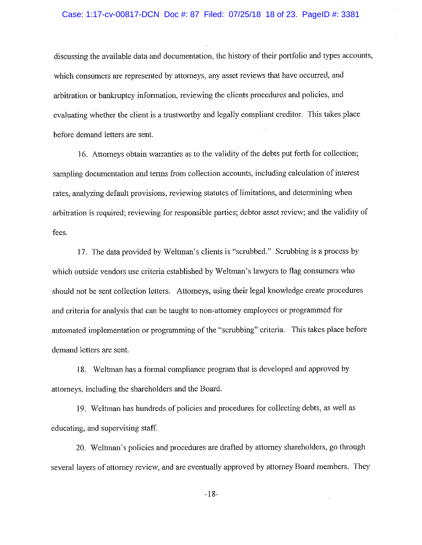### Case: 1:17-cv-00817-DCN Doc #: 87 Filed: 07/25/18 18 of 23. PageID #: 3381

discussing the available data and documentation, the history of their portfolio and types accounts, which consumers are represented by attorneys, any asset reviews that have occurred, and arbitration or bankruptcy information, reviewing the clients procedures and policies, and evaluating whether the client is a trustworthy and legally compliant creditor. This takes place before demand letters are sent.

16. Attorneys obtain warranties as to the validity of the debts put forth for collection; sampling documentation and terms from collection accounts, including calculation of interest rates, analyzing default provisions, reviewing statutes of limitations, and determining when arbitration is required; reviewing for responsible parties; debtor asset review; and the validity of fees.

17. The data provided by Weltman's clients is "scrubbed." Scrubbing is a process by which outside vendors use criteria established by Weltman's lawyers to flag consumers who should not be sent collection letters. Attorneys, using their legal knowledge create procedures and criteria for analysis that can be taught to non-attorney employees or programmed for automated implementation or programming of the "scrubbing" criteria. This takes place before demand letters are sent.

18. Weltman has a formal compliance program that is developed and approved by attorneys, including the shareholders and the Board.

19. Weltman has hundreds of policies and procedures for collecting debts, as well as educating, and supervising staff.

20. Weltman's policies and procedures are drafted by attorney shareholders, go through several layers of attorney review, and are eventually approved by attorney Board members. They

 $-18-$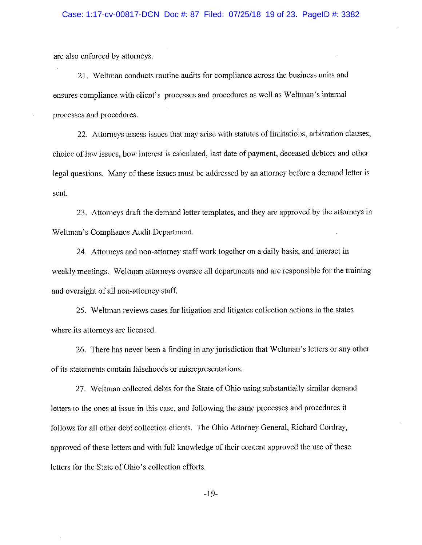are also enforced by attorneys.

21. Weltman conducts routine audits for compliance across the business units and ensures compliance with client's processes and procedures as well as Weltman's internal processes and procedures.

22. Attorneys assess issues that may arise with statutes of limitations, arbitration clauses, choice of law issues, how interest is calculated, last date of payment, deceased debtors and other legal questions. Many of these issues must be addressed by an attorney before a demand letter is sent.

23. Attorneys draft the demand letter templates, and they are approved by the attorneys in Weltman's Compliance Audit Department.

24. Attorneys and non-attorney staff work together on a daily basis, and interact in weekly meetings. Weltman attorneys oversee all departments and are responsible for the training and oversight of all non-attorney staff.

25. Weltman reviews cases for litigation and litigates collection actions in the states where its attorneys are licensed.

26. There has never been a finding in any jurisdiction that Weltman's letters or any other of its statements contain falsehoods or misrepresentations.

27. Weltman collected debts for the State of Ohio using substantially similar demand letters to the ones at issue in this case, and following the same processes and procedures it follows for all other debt collection clients. The Ohio Attorney General, Richard Cordray, approved of these letters and with full knowledge of their content approved the use of these letters for the State of Ohio's collection efforts.

 $-19-$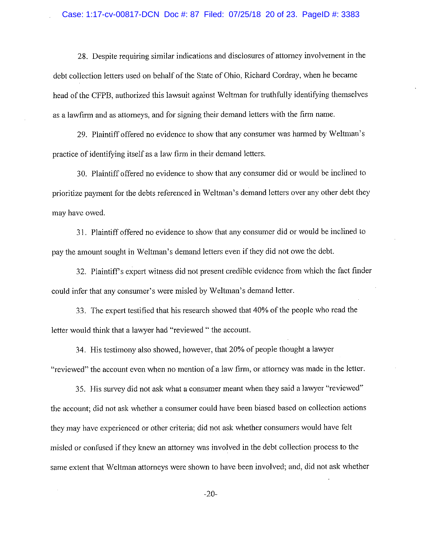28. Despite requiring similar indications and disclosures of attorney involvement in the debt collection letters used on behalf of the State of Ohio, Richard Cordray, when he became head of the CFPB, authorized this lawsuit against Weltman for truthfully identifying themselves as a lawfirm and as attorneys, and for signing their demand letters with the firm name.

29. Plaintiff offered no evidence to show that any consumer was harmed by Weltman's practice of identifying itself as a law firm in their demand letters.

30. Plaintiff offered no evidence to show that any consumer did or would be inclined to prioritize payment for the debts referenced in Weltman's demand letters over any other debt they may have owed.

31. Plaintiff offered no evidence to show that any consumer did or would be inclined to pay the amount sought in Weltman's demand letters even if they did not owe the debt.

32. Plaintiff's expert witness did not present credible evidence from which the fact finder could infer that any consumer's were misled by Weltman's demand letter.

33. The expert testified that his research showed that 40% of the people who read the letter would think that a lawyer had "reviewed " the account.

34. His testimony also showed, however, that 20% of people thought a lawyer "reviewed" the account even when no mention of a law firm, or attorney was made in the letter.

35. His survey did not ask what a consumer meant when they said a lawyer "reviewed" the account; did not ask whether a consumer could have been biased based on collection actions they may have experienced or other criteria; did not ask whether consumers would have felt misled or confused if they knew an attorney was involved in the debt collection process to the same extent that Weltman attorneys were shown to have been involved; and, did not ask whether

 $-20-$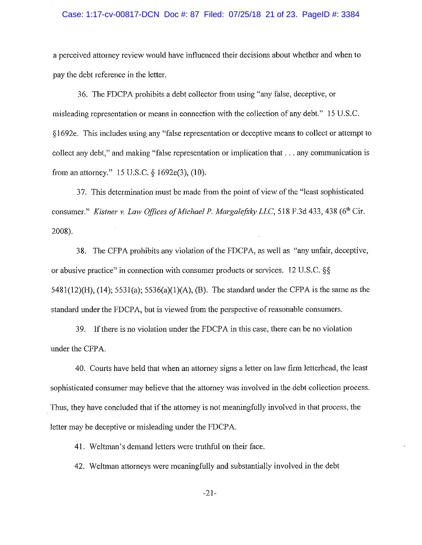### Case: 1:17-cv-00817-DCN Doc #: 87 Filed: 07/25/18 21 of 23. PageID #: 3384

a perceived attorney review would have influenced their decisions about whether and when to pay the debt reference in the letter.

36. The FDCPA prohibits a debt collector from using "any false, deceptive, or misleading representation or means in connection with the collection of any debt." 15 U.S.C. \$1692e. This includes using any "false representation or deceptive means to collect or attempt to collect any debt." and making "false representation or implication that . . . any communication is from an attorney." 15 U.S.C. § 1692e(3), (10).

37. This determination must be made from the point of view of the "least sophisticated consumer." Kistner v. Law Offices of Michael P. Margalefsky LLC, 518 F.3d 433, 438 (6th Cir. 2008).

38. The CFPA prohibits any violation of the FDCPA, as well as "any unfair, deceptive, or abusive practice" in connection with consumer products or services. 12 U.S.C. §§ 5481(12)(H), (14); 5531(a); 5536(a)(1)(A), (B). The standard under the CFPA is the same as the standard under the FDCPA, but is viewed from the perspective of reasonable consumers.

39. If there is no violation under the FDCPA in this case, there can be no violation under the CFPA.

40. Courts have held that when an attorney signs a letter on law firm letterhead, the least sophisticated consumer may believe that the attorney was involved in the debt collection process. Thus, they have concluded that if the attorney is not meaningfully involved in that process, the letter may be deceptive or misleading under the FDCPA.

41. Weltman's demand letters were truthful on their face.

42. Weltman attorneys were meaningfully and substantially involved in the debt

 $-21-$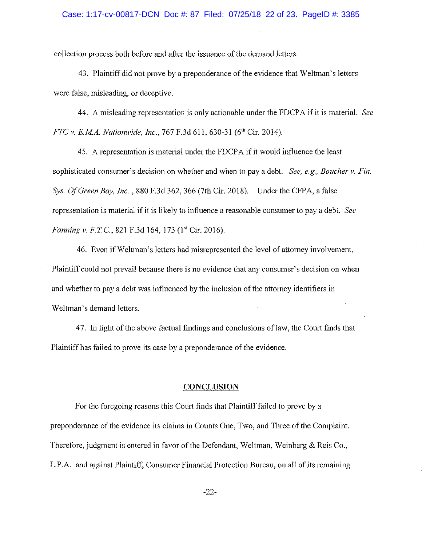### Case: 1:17-cv-00817-DCN Doc #: 87 Filed: 07/25/18 22 of 23. PageID #: 3385

collection process both before and after the issuance of the demand letters.

43. Plaintiff did not prove by a preponderance of the evidence that Weltman's letters were false, misleading, or deceptive.

44. A misleading representation is only actionable under the FDCPA if it is material. See FTC v. E.M.A. Nationwide, Inc., 767 F.3d 611, 630-31 (6<sup>th</sup> Cir. 2014).

45. A representation is material under the FDCPA if it would influence the least sophisticated consumer's decision on whether and when to pay a debt. See, e.g., Boucher v. Fin. Sys. Of Green Bay, Inc., 880 F.3d 362, 366 (7th Cir. 2018). Under the CFPA, a false representation is material if it is likely to influence a reasonable consumer to pay a debt. See Fanning v. F.T.C., 821 F.3d 164, 173 (1<sup>st</sup> Cir. 2016).

46. Even if Weltman's letters had misrepresented the level of attorney involvement, Plaintiff could not prevail because there is no evidence that any consumer's decision on when and whether to pay a debt was influenced by the inclusion of the attorney identifiers in Weltman's demand letters.

47. In light of the above factual findings and conclusions of law, the Court finds that Plaintiff has failed to prove its case by a preponderance of the evidence.

# **CONCLUSION**

For the foregoing reasons this Court finds that Plaint if failed to prove by a preponderance of the evidence its claims in Counts One, Two, and Three of the Complaint. Therefore, judgment is entered in favor of the Defendant, Weltman, Weinberg & Reis Co., L.P.A. and against Plaintiff, Consumer Financial Protection Bureau, on all of its remaining